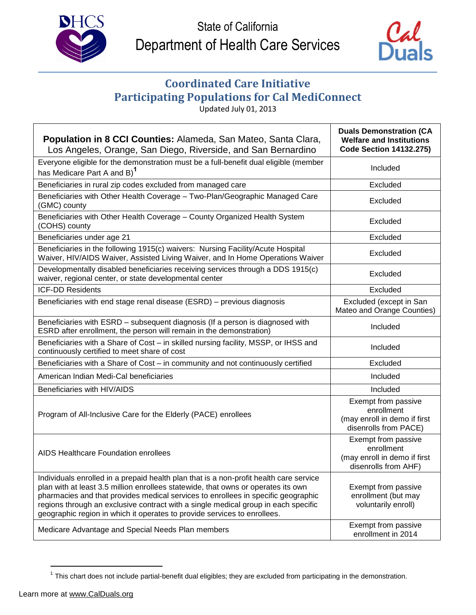



## **Coordinated Care Initiative Participating Populations for Cal MediConnect**

Updated July 01, 2013

| Population in 8 CCI Counties: Alameda, San Mateo, Santa Clara,<br>Los Angeles, Orange, San Diego, Riverside, and San Bernardino                                                                                                                                                                                                                                                                                                    | <b>Duals Demonstration (CA</b><br><b>Welfare and Institutions</b><br><b>Code Section 14132.275)</b> |
|------------------------------------------------------------------------------------------------------------------------------------------------------------------------------------------------------------------------------------------------------------------------------------------------------------------------------------------------------------------------------------------------------------------------------------|-----------------------------------------------------------------------------------------------------|
| Everyone eligible for the demonstration must be a full-benefit dual eligible (member<br>has Medicare Part A and B) <sup>1</sup>                                                                                                                                                                                                                                                                                                    | Included                                                                                            |
| Beneficiaries in rural zip codes excluded from managed care                                                                                                                                                                                                                                                                                                                                                                        | Excluded                                                                                            |
| Beneficiaries with Other Health Coverage - Two-Plan/Geographic Managed Care<br>(GMC) county                                                                                                                                                                                                                                                                                                                                        | Excluded                                                                                            |
| Beneficiaries with Other Health Coverage - County Organized Health System<br>(COHS) county                                                                                                                                                                                                                                                                                                                                         | Excluded                                                                                            |
| Beneficiaries under age 21                                                                                                                                                                                                                                                                                                                                                                                                         | Excluded                                                                                            |
| Beneficiaries in the following 1915(c) waivers: Nursing Facility/Acute Hospital<br>Waiver, HIV/AIDS Waiver, Assisted Living Waiver, and In Home Operations Waiver                                                                                                                                                                                                                                                                  | Excluded                                                                                            |
| Developmentally disabled beneficiaries receiving services through a DDS 1915(c)<br>waiver, regional center, or state developmental center                                                                                                                                                                                                                                                                                          | Excluded                                                                                            |
| <b>ICF-DD Residents</b>                                                                                                                                                                                                                                                                                                                                                                                                            | Excluded                                                                                            |
| Beneficiaries with end stage renal disease (ESRD) - previous diagnosis                                                                                                                                                                                                                                                                                                                                                             | Excluded (except in San<br>Mateo and Orange Counties)                                               |
| Beneficiaries with ESRD - subsequent diagnosis (If a person is diagnosed with<br>ESRD after enrollment, the person will remain in the demonstration)                                                                                                                                                                                                                                                                               | Included                                                                                            |
| Beneficiaries with a Share of Cost - in skilled nursing facility, MSSP, or IHSS and<br>continuously certified to meet share of cost                                                                                                                                                                                                                                                                                                | Included                                                                                            |
| Beneficiaries with a Share of Cost - in community and not continuously certified                                                                                                                                                                                                                                                                                                                                                   | Excluded                                                                                            |
| American Indian Medi-Cal beneficiaries                                                                                                                                                                                                                                                                                                                                                                                             | Included                                                                                            |
| Beneficiaries with HIV/AIDS                                                                                                                                                                                                                                                                                                                                                                                                        | Included                                                                                            |
| Program of All-Inclusive Care for the Elderly (PACE) enrollees                                                                                                                                                                                                                                                                                                                                                                     | Exempt from passive<br>enrollment<br>(may enroll in demo if first<br>disenrolls from PACE)          |
| <b>AIDS Healthcare Foundation enrollees</b>                                                                                                                                                                                                                                                                                                                                                                                        | Exempt from passive<br>enrollment<br>(may enroll in demo if first<br>disenrolls from AHF)           |
| Individuals enrolled in a prepaid health plan that is a non-profit health care service<br>plan with at least 3.5 million enrollees statewide, that owns or operates its own<br>pharmacies and that provides medical services to enrollees in specific geographic<br>regions through an exclusive contract with a single medical group in each specific<br>geographic region in which it operates to provide services to enrollees. | Exempt from passive<br>enrollment (but may<br>voluntarily enroll)                                   |
| Medicare Advantage and Special Needs Plan members                                                                                                                                                                                                                                                                                                                                                                                  | Exempt from passive<br>enrollment in 2014                                                           |

 $1$  This chart does not include partial-benefit dual eligibles; they are excluded from participating in the demonstration.

 $\overline{a}$